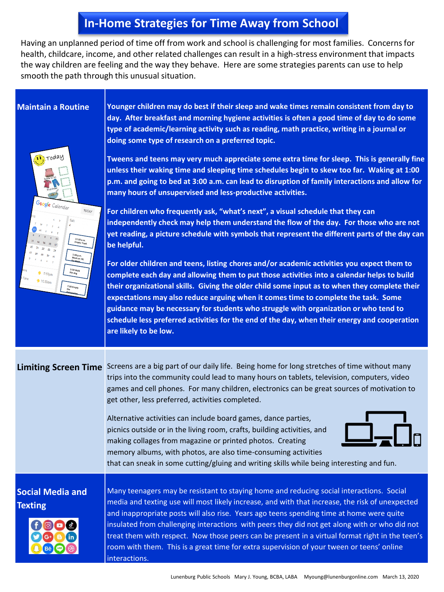## **In-Home Strategies for Time Away from School**

Having an unplanned period of time off from work and school is challenging for most families. Concerns for health, childcare, income, and other related challenges can result in a high-stress environment that impacts the way children are feeling and the way they behave. Here are some strategies parents can use to help smooth the path through this unusual situation.

oday

**Maintain a Routine Younger children may do best if their sleep and wake times remain consistent from day to day. After breakfast and morning hygiene activities is often a good time of day to do some type of academic/learning activity such as reading, math practice, writing in a journal or doing some type of research on a preferred topic.** 

> **Tweens and teens may very much appreciate some extra time for sleep. This is generally fine unless their waking time and sleeping time schedules begin to skew too far. Waking at 1:00 p.m. and going to bed at 3:00 a.m. can lead to disruption of family interactions and allow for many hours of unsupervised and less-productive activities.**

 $_{\text{TODAY}}$  $5.53n$  $10.52 -$ 

**For children who frequently ask, "what's next", a visual schedule that they can independently check may help them understand the flow of the day. For those who are not yet reading, a picture schedule with symbols that represent the different parts of the day can be helpful.** 

**For older children and teens, listing chores and/or academic activities you expect them to complete each day and allowing them to put those activities into a calendar helps to build their organizational skills. Giving the older child some input as to when they complete their expectations may also reduce arguing when it comes time to complete the task. Some guidance may be necessary for students who struggle with organization or who tend to schedule less preferred activities for the end of the day, when their energy and cooperation are likely to be low.** 

**Limiting Screen Time** Screens are a big part of our daily life. Being home for long stretches of time without many trips into the community could lead to many hours on tablets, television, computers, video games and cell phones. For many children, electronics can be great sources of motivation to get other, less preferred, activities completed.

> Alternative activities can include board games, dance parties, picnics outside or in the living room, crafts, building activities, and making collages from magazine or printed photos. Creating memory albums, with photos, are also time-consuming activities



that can sneak in some cutting/gluing and writing skills while being interesting and fun.

## **Social Media and Texting**



Many teenagers may be resistant to staying home and reducing social interactions. Social media and texting use will most likely increase, and with that increase, the risk of unexpected and inappropriate posts will also rise. Years ago teens spending time at home were quite insulated from challenging interactions with peers they did not get along with or who did not treat them with respect. Now those peers can be present in a virtual format right in the teen's room with them. This is a great time for extra supervision of your tween or teens' online interactions.